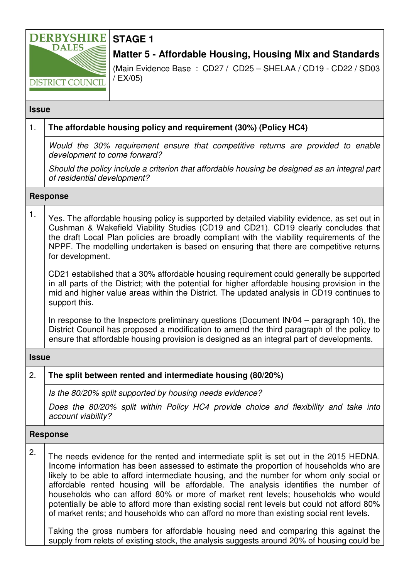

**STAGE 1** 

**Matter 5 - Affordable Housing, Housing Mix and Standards**

(Main Evidence Base : CD27 / CD25 – SHELAA / CD19 - CD22 / SD03 / EX/05)

### **Issue**

| 1.              | The affordable housing policy and requirement (30%) (Policy HC4)                                                                                                                                                                                                                                                                                                                                                                                                                                                                                                                                                                                                                                                                                                                                                                         |
|-----------------|------------------------------------------------------------------------------------------------------------------------------------------------------------------------------------------------------------------------------------------------------------------------------------------------------------------------------------------------------------------------------------------------------------------------------------------------------------------------------------------------------------------------------------------------------------------------------------------------------------------------------------------------------------------------------------------------------------------------------------------------------------------------------------------------------------------------------------------|
|                 | Would the 30% requirement ensure that competitive returns are provided to enable<br>development to come forward?                                                                                                                                                                                                                                                                                                                                                                                                                                                                                                                                                                                                                                                                                                                         |
|                 | Should the policy include a criterion that affordable housing be designed as an integral part<br>of residential development?                                                                                                                                                                                                                                                                                                                                                                                                                                                                                                                                                                                                                                                                                                             |
| <b>Response</b> |                                                                                                                                                                                                                                                                                                                                                                                                                                                                                                                                                                                                                                                                                                                                                                                                                                          |
| 1.              | Yes. The affordable housing policy is supported by detailed viability evidence, as set out in<br>Cushman & Wakefield Viability Studies (CD19 and CD21). CD19 clearly concludes that<br>the draft Local Plan policies are broadly compliant with the viability requirements of the<br>NPPF. The modelling undertaken is based on ensuring that there are competitive returns<br>for development.                                                                                                                                                                                                                                                                                                                                                                                                                                          |
|                 | CD21 established that a 30% affordable housing requirement could generally be supported<br>in all parts of the District; with the potential for higher affordable housing provision in the<br>mid and higher value areas within the District. The updated analysis in CD19 continues to<br>support this.                                                                                                                                                                                                                                                                                                                                                                                                                                                                                                                                 |
|                 | In response to the Inspectors preliminary questions (Document IN/04 – paragraph 10), the<br>District Council has proposed a modification to amend the third paragraph of the policy to<br>ensure that affordable housing provision is designed as an integral part of developments.                                                                                                                                                                                                                                                                                                                                                                                                                                                                                                                                                      |
| <b>Issue</b>    |                                                                                                                                                                                                                                                                                                                                                                                                                                                                                                                                                                                                                                                                                                                                                                                                                                          |
| 2.              | The split between rented and intermediate housing (80/20%)                                                                                                                                                                                                                                                                                                                                                                                                                                                                                                                                                                                                                                                                                                                                                                               |
|                 | Is the 80/20% split supported by housing needs evidence?                                                                                                                                                                                                                                                                                                                                                                                                                                                                                                                                                                                                                                                                                                                                                                                 |
|                 | Does the 80/20% split within Policy HC4 provide choice and flexibility and take into<br>account viability?                                                                                                                                                                                                                                                                                                                                                                                                                                                                                                                                                                                                                                                                                                                               |
| <b>Response</b> |                                                                                                                                                                                                                                                                                                                                                                                                                                                                                                                                                                                                                                                                                                                                                                                                                                          |
| 2.              | The needs evidence for the rented and intermediate split is set out in the 2015 HEDNA.<br>Income information has been assessed to estimate the proportion of households who are<br>likely to be able to afford intermediate housing, and the number for whom only social or<br>affordable rented housing will be affordable. The analysis identifies the number of<br>households who can afford 80% or more of market rent levels; households who would<br>potentially be able to afford more than existing social rent levels but could not afford 80%<br>of market rents; and households who can afford no more than existing social rent levels.<br>Taking the gross numbers for affordable housing need and comparing this against the<br>supply from relets of existing stock, the analysis suggests around 20% of housing could be |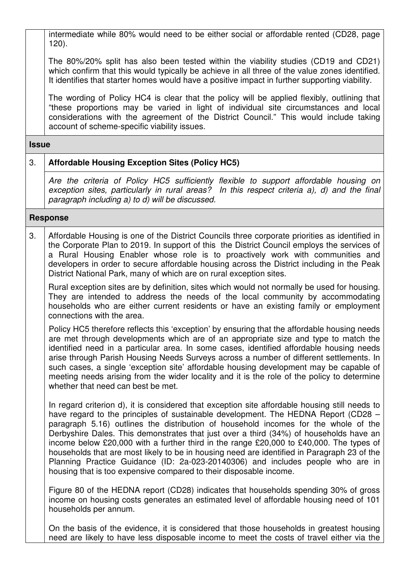intermediate while 80% would need to be either social or affordable rented (CD28, page 120).

The 80%/20% split has also been tested within the viability studies (CD19 and CD21) which confirm that this would typically be achieve in all three of the value zones identified. It identifies that starter homes would have a positive impact in further supporting viability.

The wording of Policy HC4 is clear that the policy will be applied flexibly, outlining that "these proportions may be varied in light of individual site circumstances and local considerations with the agreement of the District Council." This would include taking account of scheme-specific viability issues.

### **Issue**

## 3. **Affordable Housing Exception Sites (Policy HC5)**

Are the criteria of Policy HC5 sufficiently flexible to support affordable housing on exception sites, particularly in rural areas? In this respect criteria a), d) and the final paragraph including a) to d) will be discussed.

## **Response**

3. Affordable Housing is one of the District Councils three corporate priorities as identified in the Corporate Plan to 2019. In support of this the District Council employs the services of a Rural Housing Enabler whose role is to proactively work with communities and developers in order to secure affordable housing across the District including in the Peak District National Park, many of which are on rural exception sites.

Rural exception sites are by definition, sites which would not normally be used for housing. They are intended to address the needs of the local community by accommodating households who are either current residents or have an existing family or employment connections with the area.

Policy HC5 therefore reflects this 'exception' by ensuring that the affordable housing needs are met through developments which are of an appropriate size and type to match the identified need in a particular area. In some cases, identified affordable housing needs arise through Parish Housing Needs Surveys across a number of different settlements. In such cases, a single 'exception site' affordable housing development may be capable of meeting needs arising from the wider locality and it is the role of the policy to determine whether that need can best be met.

In regard criterion d), it is considered that exception site affordable housing still needs to have regard to the principles of sustainable development. The HEDNA Report (CD28 – paragraph 5.16) outlines the distribution of household incomes for the whole of the Derbyshire Dales. This demonstrates that just over a third (34%) of households have an income below £20,000 with a further third in the range £20,000 to £40,000. The types of households that are most likely to be in housing need are identified in Paragraph 23 of the Planning Practice Guidance (ID: 2a-023-20140306) and includes people who are in housing that is too expensive compared to their disposable income.

Figure 80 of the HEDNA report (CD28) indicates that households spending 30% of gross income on housing costs generates an estimated level of affordable housing need of 101 households per annum.

On the basis of the evidence, it is considered that those households in greatest housing need are likely to have less disposable income to meet the costs of travel either via the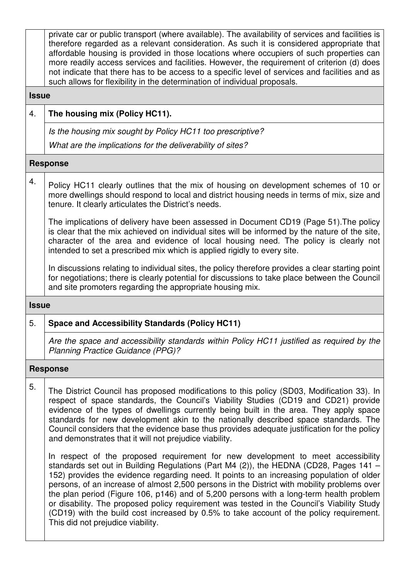private car or public transport (where available). The availability of services and facilities is therefore regarded as a relevant consideration. As such it is considered appropriate that affordable housing is provided in those locations where occupiers of such properties can more readily access services and facilities. However, the requirement of criterion (d) does not indicate that there has to be access to a specific level of services and facilities and as such allows for flexibility in the determination of individual proposals.

#### **Issue**

# 4. **The housing mix (Policy HC11).**

Is the housing mix sought by Policy HC11 too prescriptive?

What are the implications for the deliverability of sites?

### **Response**

4. Policy HC11 clearly outlines that the mix of housing on development schemes of 10 or more dwellings should respond to local and district housing needs in terms of mix, size and tenure. It clearly articulates the District's needs.

The implications of delivery have been assessed in Document CD19 (Page 51).The policy is clear that the mix achieved on individual sites will be informed by the nature of the site, character of the area and evidence of local housing need. The policy is clearly not intended to set a prescribed mix which is applied rigidly to every site.

In discussions relating to individual sites, the policy therefore provides a clear starting point for negotiations; there is clearly potential for discussions to take place between the Council and site promoters regarding the appropriate housing mix.

### **Issue**

# 5. **Space and Accessibility Standards (Policy HC11)**

Are the space and accessibility standards within Policy HC11 justified as required by the Planning Practice Guidance (PPG)?

### **Response**

 $5.$  The District Council has proposed modifications to this policy (SD03, Modification 33). In respect of space standards, the Council's Viability Studies (CD19 and CD21) provide evidence of the types of dwellings currently being built in the area. They apply space standards for new development akin to the nationally described space standards. The Council considers that the evidence base thus provides adequate justification for the policy and demonstrates that it will not prejudice viability.

In respect of the proposed requirement for new development to meet accessibility standards set out in Building Regulations (Part M4 (2)), the HEDNA (CD28, Pages 141 – 152) provides the evidence regarding need. It points to an increasing population of older persons, of an increase of almost 2,500 persons in the District with mobility problems over the plan period (Figure 106, p146) and of 5,200 persons with a long-term health problem or disability. The proposed policy requirement was tested in the Council's Viability Study (CD19) with the build cost increased by 0.5% to take account of the policy requirement. This did not prejudice viability.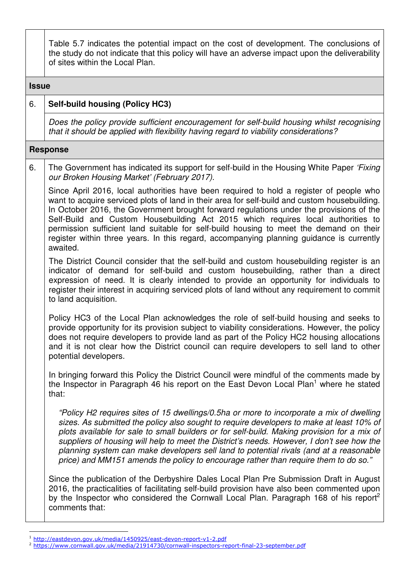Table 5.7 indicates the potential impact on the cost of development. The conclusions of the study do not indicate that this policy will have an adverse impact upon the deliverability of sites within the Local Plan.

**Issue**

## 6. **Self-build housing (Policy HC3)**

Does the policy provide sufficient encouragement for self-build housing whilst recognising that it should be applied with flexibility having regard to viability considerations?

#### **Response**

 $\overline{a}$ 

6. The Government has indicated its support for self-build in the Housing White Paper 'Fixing' our Broken Housing Market' (February 2017).

Since April 2016, local authorities have been required to hold a register of people who want to acquire serviced plots of land in their area for self-build and custom housebuilding. In October 2016, the Government brought forward regulations under the provisions of the Self-Build and Custom Housebuilding Act 2015 which requires local authorities to permission sufficient land suitable for self-build housing to meet the demand on their register within three years. In this regard, accompanying planning guidance is currently awaited.

The District Council consider that the self-build and custom housebuilding register is an indicator of demand for self-build and custom housebuilding, rather than a direct expression of need. It is clearly intended to provide an opportunity for individuals to register their interest in acquiring serviced plots of land without any requirement to commit to land acquisition.

Policy HC3 of the Local Plan acknowledges the role of self-build housing and seeks to provide opportunity for its provision subject to viability considerations. However, the policy does not require developers to provide land as part of the Policy HC2 housing allocations and it is not clear how the District council can require developers to sell land to other potential developers.

In bringing forward this Policy the District Council were mindful of the comments made by the Inspector in Paragraph 46 his report on the East Devon Local Plan<sup>1</sup> where he stated that:

"Policy H2 requires sites of 15 dwellings/0.5ha or more to incorporate a mix of dwelling sizes. As submitted the policy also sought to require developers to make at least 10% of plots available for sale to small builders or for self-build. Making provision for a mix of suppliers of housing will help to meet the District's needs. However, I don't see how the planning system can make developers sell land to potential rivals (and at a reasonable price) and MM151 amends the policy to encourage rather than require them to do so."

Since the publication of the Derbyshire Dales Local Plan Pre Submission Draft in August 2016, the practicalities of facilitating self-build provision have also been commented upon by the Inspector who considered the Cornwall Local Plan. Paragraph 168 of his report<sup>2</sup> comments that:

<sup>1</sup> http://eastdevon.gov.uk/media/1450925/east-devon-report-v1-2.pdf

<sup>2</sup> https://www.cornwall.gov.uk/media/21914730/cornwall-inspectors-report-final-23-september.pdf